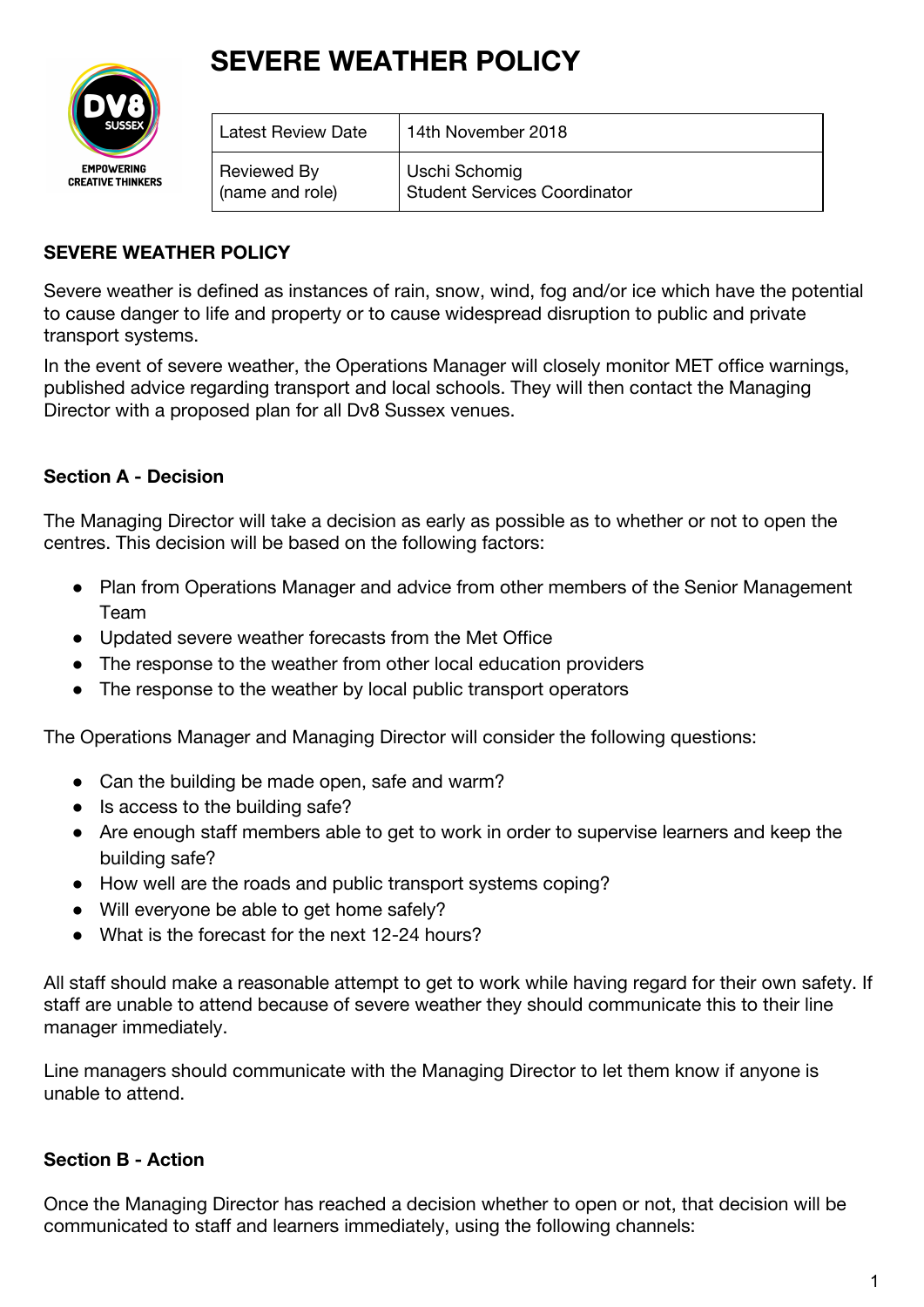## **SEVERE WEATHER POLICY**



| <b>Latest Review Date</b> | 14th November 2018                  |
|---------------------------|-------------------------------------|
| Reviewed By               | Uschi Schomig                       |
| (name and role)           | <b>Student Services Coordinator</b> |

## **SEVERE WEATHER POLICY**

Severe weather is defined as instances of rain, snow, wind, fog and/or ice which have the potential to cause danger to life and property or to cause widespread disruption to public and private transport systems.

In the event of severe weather, the Operations Manager will closely monitor MET office warnings, published advice regarding transport and local schools. They will then contact the Managing Director with a proposed plan for all Dv8 Sussex venues.

## **Section A - Decision**

The Managing Director will take a decision as early as possible as to whether or not to open the centres. This decision will be based on the following factors:

- Plan from Operations Manager and advice from other members of the Senior Management Team
- Updated severe weather forecasts from the Met Office
- The response to the weather from other local education providers
- The response to the weather by local public transport operators

The Operations Manager and Managing Director will consider the following questions:

- Can the building be made open, safe and warm?
- Is access to the building safe?
- Are enough staff members able to get to work in order to supervise learners and keep the building safe?
- How well are the roads and public transport systems coping?
- Will everyone be able to get home safely?
- What is the forecast for the next 12-24 hours?

All staff should make a reasonable attempt to get to work while having regard for their own safety. If staff are unable to attend because of severe weather they should communicate this to their line manager immediately.

Line managers should communicate with the Managing Director to let them know if anyone is unable to attend.

## **Section B - Action**

Once the Managing Director has reached a decision whether to open or not, that decision will be communicated to staff and learners immediately, using the following channels: